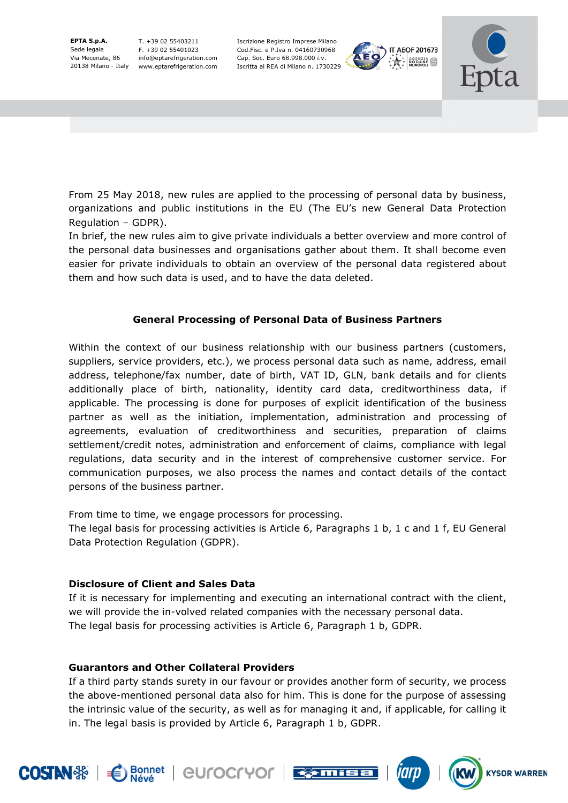**EPTA S.p.A.**  Sede legale Via Mecenate, 86

20138 Milano - Italy www.eptarefrigeration.com T. +39 02 55403211 F. +39 02 55401023 info@eptarefrigeration.com Iscrizione Registro Imprese Milano Cod.Fisc. e P.Iva n. 04160730968 Cap. Soc. Euro 68.998.000 i.v. Iscritta al REA di Milano n. 1730229





**KYSOR WARREN** 

From 25 May 2018, new rules are applied to the processing of personal data by business, organizations and public institutions in the EU (The EU's new General Data Protection Regulation – GDPR).

In brief, the new rules aim to give private individuals a better overview and more control of the personal data businesses and organisations gather about them. It shall become even easier for private individuals to obtain an overview of the personal data registered about them and how such data is used, and to have the data deleted.

# **General Processing of Personal Data of Business Partners**

Within the context of our business relationship with our business partners (customers, suppliers, service providers, etc.), we process personal data such as name, address, email address, telephone/fax number, date of birth, VAT ID, GLN, bank details and for clients additionally place of birth, nationality, identity card data, creditworthiness data, if applicable. The processing is done for purposes of explicit identification of the business partner as well as the initiation, implementation, administration and processing of agreements, evaluation of creditworthiness and securities, preparation of claims settlement/credit notes, administration and enforcement of claims, compliance with legal regulations, data security and in the interest of comprehensive customer service. For communication purposes, we also process the names and contact details of the contact persons of the business partner.

From time to time, we engage processors for processing.

The legal basis for processing activities is Article 6, Paragraphs 1 b, 1 c and 1 f, EU General Data Protection Regulation (GDPR).

### **Disclosure of Client and Sales Data**

**Bonnet** 

If it is necessary for implementing and executing an international contract with the client, we will provide the in-volved related companies with the necessary personal data. The legal basis for processing activities is Article 6, Paragraph 1 b, GDPR.

# **Guarantors and Other Collateral Providers**

If a third party stands surety in our favour or provides another form of security, we process the above-mentioned personal data also for him. This is done for the purpose of assessing the intrinsic value of the security, as well as for managing it and, if applicable, for calling it in. The legal basis is provided by Article 6, Paragraph 1 b, GDPR.

**EUrocryor EXAMPLE** 

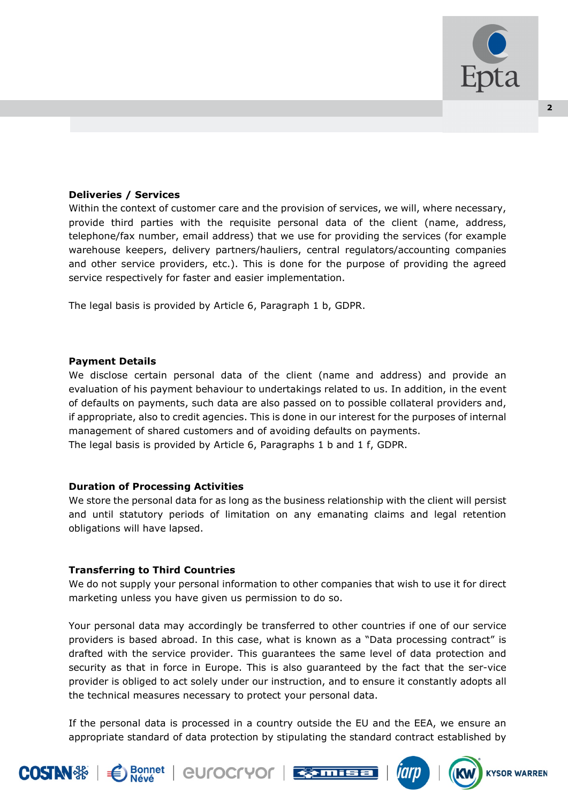

### **Deliveries / Services**

Within the context of customer care and the provision of services, we will, where necessary, provide third parties with the requisite personal data of the client (name, address, telephone/fax number, email address) that we use for providing the services (for example warehouse keepers, delivery partners/hauliers, central regulators/accounting companies and other service providers, etc.). This is done for the purpose of providing the agreed service respectively for faster and easier implementation.

The legal basis is provided by Article 6, Paragraph 1 b, GDPR.

#### **Payment Details**

We disclose certain personal data of the client (name and address) and provide an evaluation of his payment behaviour to undertakings related to us. In addition, in the event of defaults on payments, such data are also passed on to possible collateral providers and, if appropriate, also to credit agencies. This is done in our interest for the purposes of internal management of shared customers and of avoiding defaults on payments. The legal basis is provided by Article 6, Paragraphs 1 b and 1 f, GDPR.

#### **Duration of Processing Activities**

We store the personal data for as long as the business relationship with the client will persist and until statutory periods of limitation on any emanating claims and legal retention obligations will have lapsed.

#### **Transferring to Third Countries**

**Bonnet** 

We do not supply your personal information to other companies that wish to use it for direct marketing unless you have given us permission to do so.

Your personal data may accordingly be transferred to other countries if one of our service providers is based abroad. In this case, what is known as a "Data processing contract" is drafted with the service provider. This guarantees the same level of data protection and security as that in force in Europe. This is also guaranteed by the fact that the ser-vice provider is obliged to act solely under our instruction, and to ensure it constantly adopts all the technical measures necessary to protect your personal data.

If the personal data is processed in a country outside the EU and the EEA, we ensure an appropriate standard of data protection by stipulating the standard contract established by